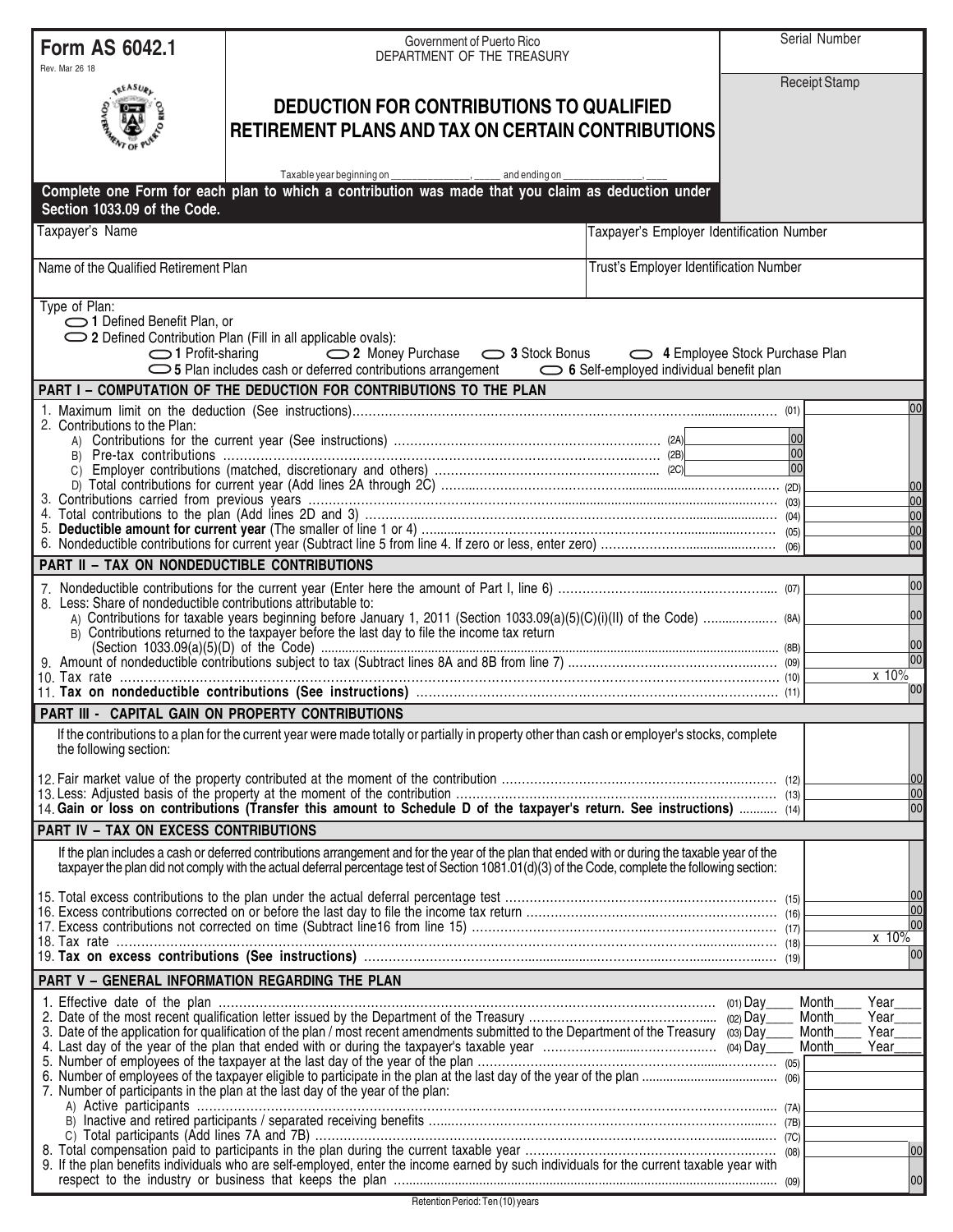| Rev. Mar 26 18<br><b>Receipt Stamp</b><br><b>GEASURE</b><br><b>DEDUCTION FOR CONTRIBUTIONS TO QUALIFIED</b><br><b>RETIREMENT PLANS AND TAX ON CERTAIN CONTRIBUTIONS</b><br>Taxable year beginning on ___________________, ______ and ending on<br>Complete one Form for each plan to which a contribution was made that you claim as deduction under<br>Section 1033.09 of the Code.<br>Taxpayer's Name<br>Taxpayer's Employer Identification Number<br>Name of the Qualified Retirement Plan<br>Trust's Employer Identification Number<br>Type of Plan:<br>1 Defined Benefit Plan, or<br>◯ 2 Defined Contribution Plan (Fill in all applicable ovals):<br>◯ 2 Money Purchase (2) 3 Stock Bonus (2) 4 Employee Stock Purchase Plan<br>$\bigcirc$ 1 Profit-sharing<br>PART I - COMPUTATION OF THE DEDUCTION FOR CONTRIBUTIONS TO THE PLAN<br>2. Contributions to the Plan:<br>00<br> 00 <br> 00 <br>PART II - TAX ON NONDEDUCTIBLE CONTRIBUTIONS<br>8. Less: Share of nondeductible contributions attributable to:<br>B) Contributions returned to the taxpayer before the last day to file the income tax return<br>PART III - CAPITAL GAIN ON PROPERTY CONTRIBUTIONS<br>If the contributions to a plan for the current year were made totally or partially in property other than cash or employer's stocks, complete<br>the following section:<br>14. Gain or loss on contributions (Transfer this amount to Schedule D of the taxpayer's return. See instructions)  (14)<br>PART IV - TAX ON EXCESS CONTRIBUTIONS<br>If the plan includes a cash or deferred contributions arrangement and for the year of the plan that ended with or during the taxable year of the<br>taxpayer the plan did not comply with the actual deferral percentage test of Section 1081.01(d)(3) of the Code, complete the following section:<br>PART V - GENERAL INFORMATION REGARDING THE PLAN<br>Year<br>Month<br>Month<br>Year<br>3. Date of the application for qualification of the plan / most recent amendments submitted to the Department of the Treasury (03) Day<br>Month<br>Year<br>Year<br>Month<br>7. Number of participants in the plan at the last day of the year of the plan:<br>9. If the plan benefits individuals who are self-employed, enter the income earned by such individuals for the current taxable year with | <b>Form AS 6042.1</b> | Government of Puerto Rico<br>DEPARTMENT OF THE TREASURY |  | Serial Number                         |  |
|----------------------------------------------------------------------------------------------------------------------------------------------------------------------------------------------------------------------------------------------------------------------------------------------------------------------------------------------------------------------------------------------------------------------------------------------------------------------------------------------------------------------------------------------------------------------------------------------------------------------------------------------------------------------------------------------------------------------------------------------------------------------------------------------------------------------------------------------------------------------------------------------------------------------------------------------------------------------------------------------------------------------------------------------------------------------------------------------------------------------------------------------------------------------------------------------------------------------------------------------------------------------------------------------------------------------------------------------------------------------------------------------------------------------------------------------------------------------------------------------------------------------------------------------------------------------------------------------------------------------------------------------------------------------------------------------------------------------------------------------------------------------------------------------------------------------------------------------------------------------------------------------------------------------------------------------------------------------------------------------------------------------------------------------------------------------------------------------------------------------------------------------------------------------------------------------------------------------------------------------------------------------------------------------------------------------------|-----------------------|---------------------------------------------------------|--|---------------------------------------|--|
|                                                                                                                                                                                                                                                                                                                                                                                                                                                                                                                                                                                                                                                                                                                                                                                                                                                                                                                                                                                                                                                                                                                                                                                                                                                                                                                                                                                                                                                                                                                                                                                                                                                                                                                                                                                                                                                                                                                                                                                                                                                                                                                                                                                                                                                                                                                            |                       |                                                         |  |                                       |  |
|                                                                                                                                                                                                                                                                                                                                                                                                                                                                                                                                                                                                                                                                                                                                                                                                                                                                                                                                                                                                                                                                                                                                                                                                                                                                                                                                                                                                                                                                                                                                                                                                                                                                                                                                                                                                                                                                                                                                                                                                                                                                                                                                                                                                                                                                                                                            |                       |                                                         |  |                                       |  |
|                                                                                                                                                                                                                                                                                                                                                                                                                                                                                                                                                                                                                                                                                                                                                                                                                                                                                                                                                                                                                                                                                                                                                                                                                                                                                                                                                                                                                                                                                                                                                                                                                                                                                                                                                                                                                                                                                                                                                                                                                                                                                                                                                                                                                                                                                                                            |                       |                                                         |  |                                       |  |
|                                                                                                                                                                                                                                                                                                                                                                                                                                                                                                                                                                                                                                                                                                                                                                                                                                                                                                                                                                                                                                                                                                                                                                                                                                                                                                                                                                                                                                                                                                                                                                                                                                                                                                                                                                                                                                                                                                                                                                                                                                                                                                                                                                                                                                                                                                                            |                       |                                                         |  |                                       |  |
|                                                                                                                                                                                                                                                                                                                                                                                                                                                                                                                                                                                                                                                                                                                                                                                                                                                                                                                                                                                                                                                                                                                                                                                                                                                                                                                                                                                                                                                                                                                                                                                                                                                                                                                                                                                                                                                                                                                                                                                                                                                                                                                                                                                                                                                                                                                            |                       |                                                         |  |                                       |  |
|                                                                                                                                                                                                                                                                                                                                                                                                                                                                                                                                                                                                                                                                                                                                                                                                                                                                                                                                                                                                                                                                                                                                                                                                                                                                                                                                                                                                                                                                                                                                                                                                                                                                                                                                                                                                                                                                                                                                                                                                                                                                                                                                                                                                                                                                                                                            |                       |                                                         |  | 00                                    |  |
|                                                                                                                                                                                                                                                                                                                                                                                                                                                                                                                                                                                                                                                                                                                                                                                                                                                                                                                                                                                                                                                                                                                                                                                                                                                                                                                                                                                                                                                                                                                                                                                                                                                                                                                                                                                                                                                                                                                                                                                                                                                                                                                                                                                                                                                                                                                            |                       |                                                         |  | 00<br>00<br>00<br>00<br>00            |  |
|                                                                                                                                                                                                                                                                                                                                                                                                                                                                                                                                                                                                                                                                                                                                                                                                                                                                                                                                                                                                                                                                                                                                                                                                                                                                                                                                                                                                                                                                                                                                                                                                                                                                                                                                                                                                                                                                                                                                                                                                                                                                                                                                                                                                                                                                                                                            |                       |                                                         |  |                                       |  |
|                                                                                                                                                                                                                                                                                                                                                                                                                                                                                                                                                                                                                                                                                                                                                                                                                                                                                                                                                                                                                                                                                                                                                                                                                                                                                                                                                                                                                                                                                                                                                                                                                                                                                                                                                                                                                                                                                                                                                                                                                                                                                                                                                                                                                                                                                                                            |                       |                                                         |  | 00<br>00<br>00<br>00<br>$x$ 10%<br>00 |  |
|                                                                                                                                                                                                                                                                                                                                                                                                                                                                                                                                                                                                                                                                                                                                                                                                                                                                                                                                                                                                                                                                                                                                                                                                                                                                                                                                                                                                                                                                                                                                                                                                                                                                                                                                                                                                                                                                                                                                                                                                                                                                                                                                                                                                                                                                                                                            |                       |                                                         |  |                                       |  |
|                                                                                                                                                                                                                                                                                                                                                                                                                                                                                                                                                                                                                                                                                                                                                                                                                                                                                                                                                                                                                                                                                                                                                                                                                                                                                                                                                                                                                                                                                                                                                                                                                                                                                                                                                                                                                                                                                                                                                                                                                                                                                                                                                                                                                                                                                                                            |                       |                                                         |  |                                       |  |
|                                                                                                                                                                                                                                                                                                                                                                                                                                                                                                                                                                                                                                                                                                                                                                                                                                                                                                                                                                                                                                                                                                                                                                                                                                                                                                                                                                                                                                                                                                                                                                                                                                                                                                                                                                                                                                                                                                                                                                                                                                                                                                                                                                                                                                                                                                                            |                       |                                                         |  | 00<br>00<br>00                        |  |
|                                                                                                                                                                                                                                                                                                                                                                                                                                                                                                                                                                                                                                                                                                                                                                                                                                                                                                                                                                                                                                                                                                                                                                                                                                                                                                                                                                                                                                                                                                                                                                                                                                                                                                                                                                                                                                                                                                                                                                                                                                                                                                                                                                                                                                                                                                                            |                       |                                                         |  |                                       |  |
|                                                                                                                                                                                                                                                                                                                                                                                                                                                                                                                                                                                                                                                                                                                                                                                                                                                                                                                                                                                                                                                                                                                                                                                                                                                                                                                                                                                                                                                                                                                                                                                                                                                                                                                                                                                                                                                                                                                                                                                                                                                                                                                                                                                                                                                                                                                            |                       |                                                         |  | 100<br>00                             |  |
|                                                                                                                                                                                                                                                                                                                                                                                                                                                                                                                                                                                                                                                                                                                                                                                                                                                                                                                                                                                                                                                                                                                                                                                                                                                                                                                                                                                                                                                                                                                                                                                                                                                                                                                                                                                                                                                                                                                                                                                                                                                                                                                                                                                                                                                                                                                            |                       |                                                         |  | 00<br>x 10%<br>00                     |  |
|                                                                                                                                                                                                                                                                                                                                                                                                                                                                                                                                                                                                                                                                                                                                                                                                                                                                                                                                                                                                                                                                                                                                                                                                                                                                                                                                                                                                                                                                                                                                                                                                                                                                                                                                                                                                                                                                                                                                                                                                                                                                                                                                                                                                                                                                                                                            |                       |                                                         |  |                                       |  |
|                                                                                                                                                                                                                                                                                                                                                                                                                                                                                                                                                                                                                                                                                                                                                                                                                                                                                                                                                                                                                                                                                                                                                                                                                                                                                                                                                                                                                                                                                                                                                                                                                                                                                                                                                                                                                                                                                                                                                                                                                                                                                                                                                                                                                                                                                                                            |                       |                                                         |  |                                       |  |
|                                                                                                                                                                                                                                                                                                                                                                                                                                                                                                                                                                                                                                                                                                                                                                                                                                                                                                                                                                                                                                                                                                                                                                                                                                                                                                                                                                                                                                                                                                                                                                                                                                                                                                                                                                                                                                                                                                                                                                                                                                                                                                                                                                                                                                                                                                                            |                       |                                                         |  | 00<br>00                              |  |